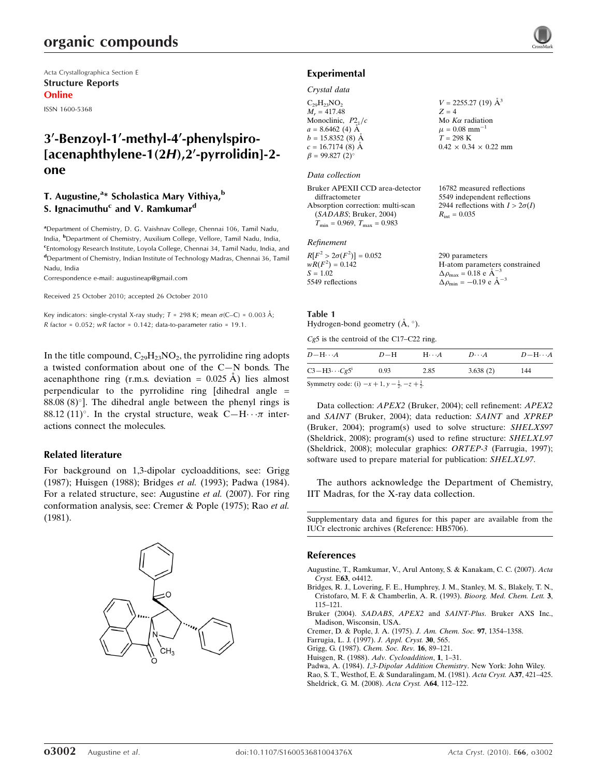Acta Crystallographica Section E Structure Reports Online

ISSN 1600-5368

# 3'-Benzoyl-1'-methyl-4'-phenylspiro- $[acenaphthylene-1(2H).2'-pyrrolidin]-2$ one

# T. Augustine,<sup>a\*</sup> Scholastica Mary Vithiya,<sup>b</sup> S. Ignacimuthu<sup>c</sup> and V. Ramkumar<sup>d</sup>

<sup>a</sup> Department of Chemistry, D. G. Vaishnav College, Chennai 106, Tamil Nadu, India, <sup>b</sup>Department of Chemistry, Auxilium College, Vellore, Tamil Nadu, India, <sup>c</sup>Entomology Research Institute, Loyola College, Chennai 34, Tamil Nadu, India, and d Department of Chemistry, Indian Institute of Technology Madras, Chennai 36, Tamil Nadu, India

Correspondence e-mail: augustineap@gmail.com

Received 25 October 2010; accepted 26 October 2010

Key indicators: single-crystal X-ray study;  $T = 298$  K; mean  $\sigma$ (C–C) = 0.003 Å;  $R$  factor = 0.052;  $wR$  factor = 0.142; data-to-parameter ratio = 19.1.

In the title compound,  $C_{29}H_{23}NO_2$ , the pyrrolidine ring adopts a twisted conformation about one of the C—N bonds. The acenaphthone ring (r.m.s. deviation =  $0.025 \text{ Å}$ ) lies almost perpendicular to the pyrrolidine ring [dihedral angle =  $88.08(8)$ <sup>o</sup>]. The dihedral angle between the phenyl rings is 88.12 (11)°. In the crystal structure, weak  $C-H \cdots \pi$  interactions connect the molecules.

## Related literature

For background on 1,3-dipolar cycloadditions, see: Grigg (1987); Huisgen (1988); Bridges et al. (1993); Padwa (1984). For a related structure, see: Augustine et al. (2007). For ring conformation analysis, see: Cremer & Pople (1975); Rao et al. (1981).



### Experimental

#### Crystal data

 $C_{29}H_{23}NO_2$  $M_r = 417.48$ Monoclinic,  $P2<sub>1</sub>/c$  $a = 8.6462(4)$  Å  $b = 15.8352(8)$  Å  $c = 16.7174(8)$  Å  $\beta = 99.827$  (2)<sup>o</sup>  $V = 2255.27(19)$   $\AA^3$  $Z = 4$ Mo  $K\alpha$  radiation  $\mu = 0.08$  mm<sup>-1</sup>  $T = 298 \text{ K}$  $0.42 \times 0.34 \times 0.22$  mm

### Data collection

| Bruker APEXII CCD area-detector                     |
|-----------------------------------------------------|
| diffractometer                                      |
| Absorption correction: multi-scan                   |
| (SADABS; Bruker, 2004)                              |
| $T_{\text{min}} = 0.969$ , $T_{\text{max}} = 0.983$ |
|                                                     |

#### Refinement

| $R[F^2 > 2\sigma(F^2)] = 0.052$ | 290 parameters                                  |
|---------------------------------|-------------------------------------------------|
| $wR(F^2) = 0.142$               | H-atom parameters constrained                   |
| $S = 1.02$                      | $\Delta \rho_{\text{max}} = 0.18$ e $\AA^{-3}$  |
| 5549 reflections                | $\Delta \rho_{\text{min}} = -0.19$ e $\AA^{-3}$ |

16782 measured reflections 5549 independent reflections 2944 reflections with  $I > 2\sigma(I)$ 

 $R_{\text{int}} = 0.035$ 

#### Table 1

## Hydrogen-bond geometry  $(\AA, \degree)$ .

Cg5 is the centroid of the C17–C22 ring.

| $D - H \cdots A$                                                       | $D-H$ | $H\cdots A$ | $D\cdots A$ | $D - H \cdots A$ |  |  |
|------------------------------------------------------------------------|-------|-------------|-------------|------------------|--|--|
| $C3 - H3 \cdots Cg5^i$                                                 | 0.93  | 2.85        | 3.638(2)    | 144              |  |  |
| Symmetry code: (i) $-x + 1$ , $y - \frac{1}{2}$ , $-z + \frac{1}{2}$ . |       |             |             |                  |  |  |

Data collection: APEX2 (Bruker, 2004); cell refinement: APEX2 and SAINT (Bruker, 2004); data reduction: SAINT and XPREP (Bruker, 2004); program(s) used to solve structure: SHELXS97 (Sheldrick, 2008); program(s) used to refine structure: SHELXL97 (Sheldrick, 2008); molecular graphics: ORTEP-3 (Farrugia, 1997); software used to prepare material for publication: SHELXL97.

The authors acknowledge the Department of Chemistry, IIT Madras, for the X-ray data collection.

Supplementary data and figures for this paper are available from the IUCr electronic archives (Reference: HB5706).

#### References

- [Augustine, T., Ramkumar, V., Arul Antony, S. & Kanakam, C. C. \(2007\).](http://scripts.iucr.org/cgi-bin/cr.cgi?rm=pdfbb&cnor=hb5706&bbid=BB1) Acta Cryst. E63[, o4412.](http://scripts.iucr.org/cgi-bin/cr.cgi?rm=pdfbb&cnor=hb5706&bbid=BB1)
- [Bridges, R. J., Lovering, F. E., Humphrey, J. M., Stanley, M. S., Blakely, T. N.,](http://scripts.iucr.org/cgi-bin/cr.cgi?rm=pdfbb&cnor=hb5706&bbid=BB2) [Cristofaro, M. F. & Chamberlin, A. R. \(1993\).](http://scripts.iucr.org/cgi-bin/cr.cgi?rm=pdfbb&cnor=hb5706&bbid=BB2) Bioorg. Med. Chem. Lett. 3, [115–121.](http://scripts.iucr.org/cgi-bin/cr.cgi?rm=pdfbb&cnor=hb5706&bbid=BB2)

Bruker (2004). SADABS, APEX2 and SAINT-Plus[. Bruker AXS Inc.,](http://scripts.iucr.org/cgi-bin/cr.cgi?rm=pdfbb&cnor=hb5706&bbid=BB3) [Madison, Wisconsin, USA.](http://scripts.iucr.org/cgi-bin/cr.cgi?rm=pdfbb&cnor=hb5706&bbid=BB3)

[Cremer, D. & Pople, J. A. \(1975\).](http://scripts.iucr.org/cgi-bin/cr.cgi?rm=pdfbb&cnor=hb5706&bbid=BB4) J. Am. Chem. Soc. 97, 1354–1358.

[Farrugia, L. J. \(1997\).](http://scripts.iucr.org/cgi-bin/cr.cgi?rm=pdfbb&cnor=hb5706&bbid=BB5) J. Appl. Cryst. 30, 565.

- [Grigg, G. \(1987\).](http://scripts.iucr.org/cgi-bin/cr.cgi?rm=pdfbb&cnor=hb5706&bbid=BB6) Chem. Soc. Rev. 16, 89–121.
- Huisgen, R. (1988). [Adv. Cycloaddition](http://scripts.iucr.org/cgi-bin/cr.cgi?rm=pdfbb&cnor=hb5706&bbid=BB7), 1, 1–31.
- Padwa, A. (1984). [1,3-Dipolar Addition Chemistry](http://scripts.iucr.org/cgi-bin/cr.cgi?rm=pdfbb&cnor=hb5706&bbid=BB8). New York: John Wiley.

[Rao, S. T., Westhof, E. & Sundaralingam, M. \(1981\).](http://scripts.iucr.org/cgi-bin/cr.cgi?rm=pdfbb&cnor=hb5706&bbid=BB9) Acta Cryst. A37, 421–425. [Sheldrick, G. M. \(2008\).](http://scripts.iucr.org/cgi-bin/cr.cgi?rm=pdfbb&cnor=hb5706&bbid=BB10) Acta Cryst. A64, 112–122.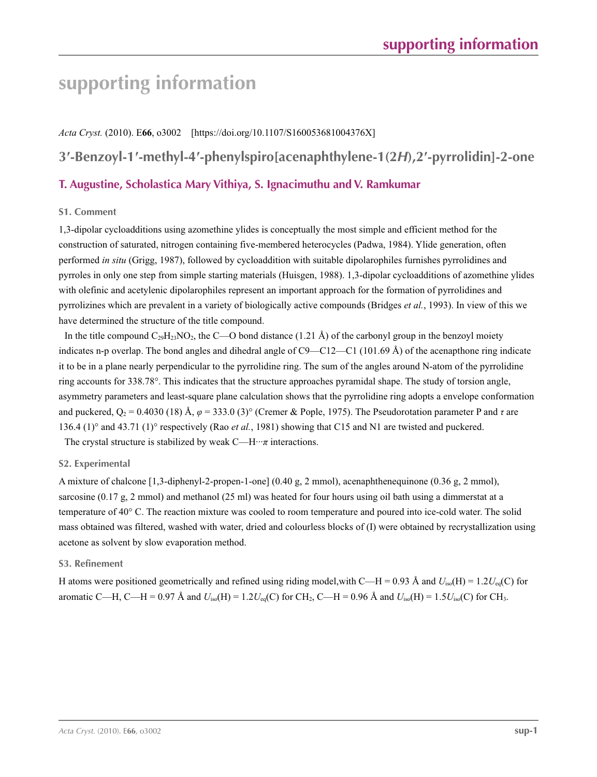# **supporting information**

*Acta Cryst.* (2010). E**66**, o3002 [https://doi.org/10.1107/S160053681004376X] **3′-Benzoyl-1′-methyl-4′-phenylspiro[acenaphthylene-1(2***H***),2′-pyrrolidin]-2-one**

# **T. Augustine, Scholastica Mary Vithiya, S. Ignacimuthu and V. Ramkumar**

## **S1. Comment**

1,3-dipolar cycloadditions using azomethine ylides is conceptually the most simple and efficient method for the construction of saturated, nitrogen containing five-membered heterocycles (Padwa, 1984). Ylide generation, often performed *in situ* (Grigg, 1987), followed by cycloaddition with suitable dipolarophiles furnishes pyrrolidines and pyrroles in only one step from simple starting materials (Huisgen, 1988). 1,3-dipolar cycloadditions of azomethine ylides with olefinic and acetylenic dipolarophiles represent an important approach for the formation of pyrrolidines and pyrrolizines which are prevalent in a variety of biologically active compounds (Bridges *et al.*, 1993). In view of this we have determined the structure of the title compound.

In the title compound  $C_{29}H_{23}NO_2$ , the C—O bond distance (1.21 Å) of the carbonyl group in the benzoyl moiety indicates n-p overlap. The bond angles and dihedral angle of  $C9 - C12 - C1$  (101.69 Å) of the acenapthone ring indicate it to be in a plane nearly perpendicular to the pyrrolidine ring. The sum of the angles around N-atom of the pyrrolidine ring accounts for 338.78°. This indicates that the structure approaches pyramidal shape. The study of torsion angle, asymmetry parameters and least-square plane calculation shows that the pyrrolidine ring adopts a envelope conformation and puckered,  $Q_2 = 0.4030$  (18) Å,  $\varphi = 333.0$  (3)° (Cremer & Pople, 1975). The Pseudorotation parameter P and  $\tau$  are 136.4 (1)° and 43.71 (1)° respectively (Rao *et al.*, 1981) showing that C15 and N1 are twisted and puckered.

The crystal structure is stabilized by weak  $C$ —H $\cdots$ *π* interactions.

# **S2. Experimental**

A mixture of chalcone [1,3-diphenyl-2-propen-1-one] (0.40 g, 2 mmol), acenaphthenequinone (0.36 g, 2 mmol), sarcosine (0.17 g, 2 mmol) and methanol (25 ml) was heated for four hours using oil bath using a dimmerstat at a temperature of 40° C. The reaction mixture was cooled to room temperature and poured into ice-cold water. The solid mass obtained was filtered, washed with water, dried and colourless blocks of (I) were obtained by recrystallization using acetone as solvent by slow evaporation method.

## **S3. Refinement**

H atoms were positioned geometrically and refined using riding model,with C—H = 0.93 Å and  $U_{iso}(H) = 1.2U_{eq}(C)$  for aromatic C—H, C—H = 0.97 Å and  $U_{iso}(H) = 1.2U_{eq}(C)$  for CH<sub>2</sub>, C—H = 0.96 Å and  $U_{iso}(H) = 1.5U_{iso}(C)$  for CH<sub>3</sub>.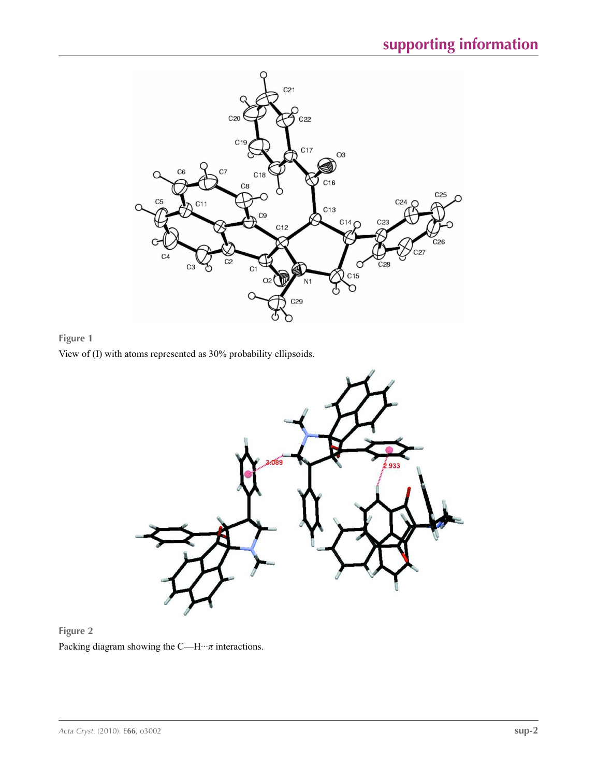

**Figure 1** View of (I) with atoms represented as 30% probability ellipsoids.





Packing diagram showing the C—H $\cdots$ *π* interactions.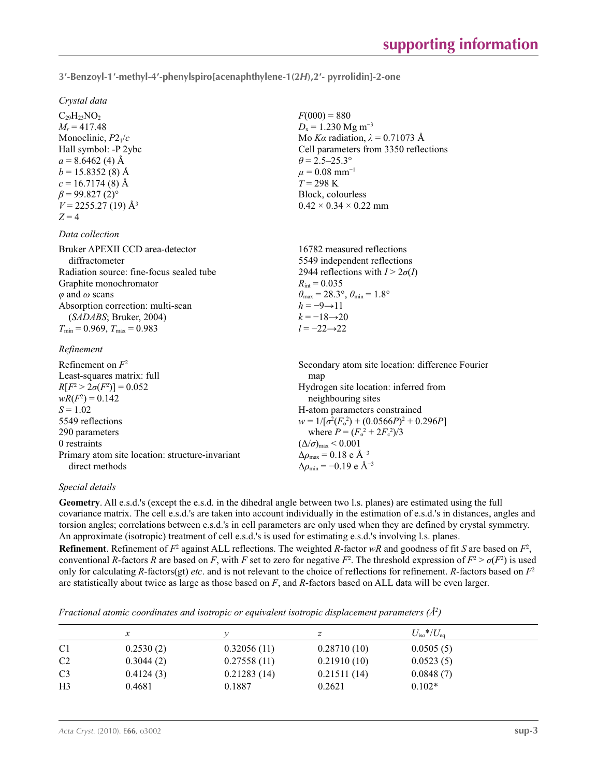**3′-Benzoyl-1′-methyl-4′-phenylspiro[acenaphthylene-1(2***H***),2′- pyrrolidin]-2-one** 

 $F(000) = 880$  $D_x = 1.230$  Mg m<sup>-3</sup>

 $\theta$  = 2.5–25.3°  $\mu = 0.08$  mm<sup>-1</sup>  $T = 298 \text{ K}$ Block, colourless  $0.42 \times 0.34 \times 0.22$  mm

 $R_{\text{int}} = 0.035$ 

 $h = -9 \rightarrow 11$  $k = -18 \rightarrow 20$ *l* = −22→22

Mo *Kα* radiation, *λ* = 0.71073 Å Cell parameters from 3350 reflections

16782 measured reflections 5549 independent reflections 2944 reflections with  $I > 2\sigma(I)$ 

 $\theta_{\text{max}} = 28.3^{\circ}, \theta_{\text{min}} = 1.8^{\circ}$ 

*Crystal data*

 $C_{29}H_{23}NO_2$  $M_r = 417.48$ Monoclinic, *P*21/*c* Hall symbol: -P 2ybc  $a = 8.6462(4)$  Å  $b = 15.8352(8)$  Å  $c = 16.7174(8)$  Å  $\beta$  = 99.827 (2)<sup>°</sup>  $V = 2255.27(19)$  Å<sup>3</sup>  $Z = 4$ 

## *Data collection*

| Bruker APEXII CCD area-detector          |
|------------------------------------------|
| diffractometer                           |
| Radiation source: fine-focus sealed tube |
| Graphite monochromator                   |
| $\varphi$ and $\omega$ scans             |
| Absorption correction: multi-scan        |
| (SADABS; Bruker, 2004)                   |
| $T_{\min}$ = 0.969, $T_{\max}$ = 0.983   |
|                                          |

## *Refinement*

| Refinement on $F^2$                             | Secondary atom site location: difference Fourier   |
|-------------------------------------------------|----------------------------------------------------|
| Least-squares matrix: full                      | map                                                |
| $R[F^2 > 2\sigma(F^2)] = 0.052$                 | Hydrogen site location: inferred from              |
| $wR(F^2) = 0.142$                               | neighbouring sites                                 |
| $S = 1.02$                                      | H-atom parameters constrained                      |
| 5549 reflections                                | $w = 1/[\sigma^2(F_0^2) + (0.0566P)^2 + 0.296P]$   |
| 290 parameters                                  | where $P = (F_o^2 + 2F_c^2)/3$                     |
| 0 restraints                                    | $(\Delta/\sigma)_{\text{max}}$ < 0.001             |
| Primary atom site location: structure-invariant | $\Delta \rho_{\text{max}} = 0.18 \text{ e A}^{-3}$ |
| direct methods                                  | $\Delta \rho_{\rm min} = -0.19$ e Å <sup>-3</sup>  |

## *Special details*

**Geometry**. All e.s.d.'s (except the e.s.d. in the dihedral angle between two l.s. planes) are estimated using the full covariance matrix. The cell e.s.d.'s are taken into account individually in the estimation of e.s.d.'s in distances, angles and torsion angles; correlations between e.s.d.'s in cell parameters are only used when they are defined by crystal symmetry. An approximate (isotropic) treatment of cell e.s.d.'s is used for estimating e.s.d.'s involving l.s. planes.

**Refinement**. Refinement of  $F^2$  against ALL reflections. The weighted  $R$ -factor  $wR$  and goodness of fit  $S$  are based on  $F^2$ , conventional *R*-factors *R* are based on *F*, with *F* set to zero for negative  $F^2$ . The threshold expression of  $F^2 > \sigma(F^2)$  is used only for calculating *R*-factors(gt) *etc*. and is not relevant to the choice of reflections for refinement. *R*-factors based on *F*<sup>2</sup> are statistically about twice as large as those based on *F*, and *R*-factors based on ALL data will be even larger.

*Fractional atomic coordinates and isotropic or equivalent isotropic displacement parameters (Å<sup>2</sup>)* 

|                |           |             |             | $U_{\rm iso} * / U_{\rm eq}$ |  |
|----------------|-----------|-------------|-------------|------------------------------|--|
| C <sub>1</sub> | 0.2530(2) | 0.32056(11) | 0.28710(10) | 0.0505(5)                    |  |
| C <sub>2</sub> | 0.3044(2) | 0.27558(11) | 0.21910(10) | 0.0523(5)                    |  |
| C <sub>3</sub> | 0.4124(3) | 0.21283(14) | 0.21511(14) | 0.0848(7)                    |  |
| H <sub>3</sub> | 0.4681    | 0.1887      | 0.2621      | $0.102*$                     |  |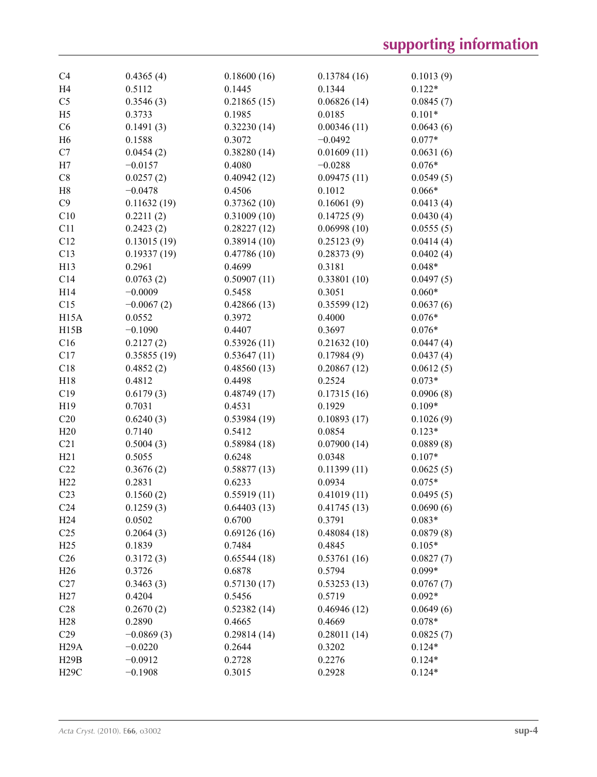| C <sub>4</sub>    | 0.4365(4)           | 0.18600(16) | 0.13784(16) | 0.1013(9) |
|-------------------|---------------------|-------------|-------------|-----------|
| H <sub>4</sub>    | 0.5112              | 0.1445      | 0.1344      | $0.122*$  |
| C <sub>5</sub>    | 0.3546(3)           | 0.21865(15) | 0.06826(14) | 0.0845(7) |
| H <sub>5</sub>    | 0.3733              | 0.1985      | 0.0185      | $0.101*$  |
| C6                | 0.1491(3)           | 0.32230(14) | 0.00346(11) | 0.0643(6) |
| H <sub>6</sub>    | 0.1588              | 0.3072      | $-0.0492$   | $0.077*$  |
| C7                | 0.0454(2)           | 0.38280(14) | 0.01609(11) | 0.0631(6) |
| H7                | $-0.0157$           | 0.4080      | $-0.0288$   | $0.076*$  |
| C8                | 0.0257(2)           | 0.40942(12) | 0.09475(11) | 0.0549(5) |
| H <sub>8</sub>    | $-0.0478$           | 0.4506      | 0.1012      | $0.066*$  |
| C9                | 0.11632(19)         | 0.37362(10) | 0.16061(9)  | 0.0413(4) |
| C10               | 0.2211(2)           | 0.31009(10) | 0.14725(9)  | 0.0430(4) |
| C11               | 0.2423(2)           | 0.28227(12) | 0.06998(10) | 0.0555(5) |
| C12               | 0.13015(19)         | 0.38914(10) | 0.25123(9)  | 0.0414(4) |
| C13               | 0.19337(19)         | 0.47786(10) | 0.28373(9)  | 0.0402(4) |
| H13               | 0.2961              | 0.4699      | 0.3181      | $0.048*$  |
|                   |                     |             |             |           |
| C14               | 0.0763(2)           | 0.50907(11) | 0.33801(10) | 0.0497(5) |
| H14               | $-0.0009$           | 0.5458      | 0.3051      | $0.060*$  |
| C15               | $-0.0067(2)$        | 0.42866(13) | 0.35599(12) | 0.0637(6) |
| H <sub>15</sub> A | 0.0552              | 0.3972      | 0.4000      | $0.076*$  |
| H15B              | $-0.1090$           | 0.4407      | 0.3697      | $0.076*$  |
| C16               | 0.2127(2)           | 0.53926(11) | 0.21632(10) | 0.0447(4) |
| C17               | 0.35855(19)         | 0.53647(11) | 0.17984(9)  | 0.0437(4) |
| C18               | 0.4852(2)           | 0.48560(13) | 0.20867(12) | 0.0612(5) |
| H18               | 0.4812              | 0.4498      | 0.2524      | $0.073*$  |
| C19               | 0.6179(3)           | 0.48749(17) | 0.17315(16) | 0.0906(8) |
| H19               | 0.7031              | 0.4531      | 0.1929      | $0.109*$  |
| C20               | 0.6240(3)           | 0.53984(19) | 0.10893(17) | 0.1026(9) |
| H20               | 0.7140              | 0.5412      | 0.0854      | $0.123*$  |
| C21               | 0.5004(3)           | 0.58984(18) | 0.07900(14) | 0.0889(8) |
| H21               | 0.5055              | 0.6248      | 0.0348      | $0.107*$  |
| C22               | 0.3676(2)           | 0.58877(13) | 0.11399(11) | 0.0625(5) |
| H22               | 0.2831              | 0.6233      | 0.0934      | $0.075*$  |
| C <sub>23</sub>   | 0.1560(2)           | 0.55919(11) | 0.41019(11) | 0.0495(5) |
| C <sub>24</sub>   | 0.1259(3)           | 0.64403(13) | 0.41745(13) | 0.0690(6) |
| H <sub>24</sub>   | 0.0502              | 0.6700      | 0.3791      | $0.083*$  |
| C <sub>25</sub>   | 0.2064(3)           | 0.69126(16) | 0.48084(18) | 0.0879(8) |
| H25               | 0.1839              | 0.7484      | 0.4845      | $0.105*$  |
| C <sub>26</sub>   | 0.3172(3)           | 0.65544(18) | 0.53761(16) | 0.0827(7) |
| H <sub>26</sub>   | 0.3726              | 0.6878      | 0.5794      | $0.099*$  |
|                   |                     |             |             |           |
| C27               | 0.3463(3)<br>0.4204 | 0.57130(17) | 0.53253(13) | 0.0767(7) |
| H27               |                     | 0.5456      | 0.5719      | $0.092*$  |
| C28               | 0.2670(2)           | 0.52382(14) | 0.46946(12) | 0.0649(6) |
| H28               | 0.2890              | 0.4665      | 0.4669      | $0.078*$  |
| C29               | $-0.0869(3)$        | 0.29814(14) | 0.28011(14) | 0.0825(7) |
| H29A              | $-0.0220$           | 0.2644      | 0.3202      | $0.124*$  |
| H29B              | $-0.0912$           | 0.2728      | 0.2276      | $0.124*$  |
| <b>H29C</b>       | $-0.1908$           | 0.3015      | 0.2928      | $0.124*$  |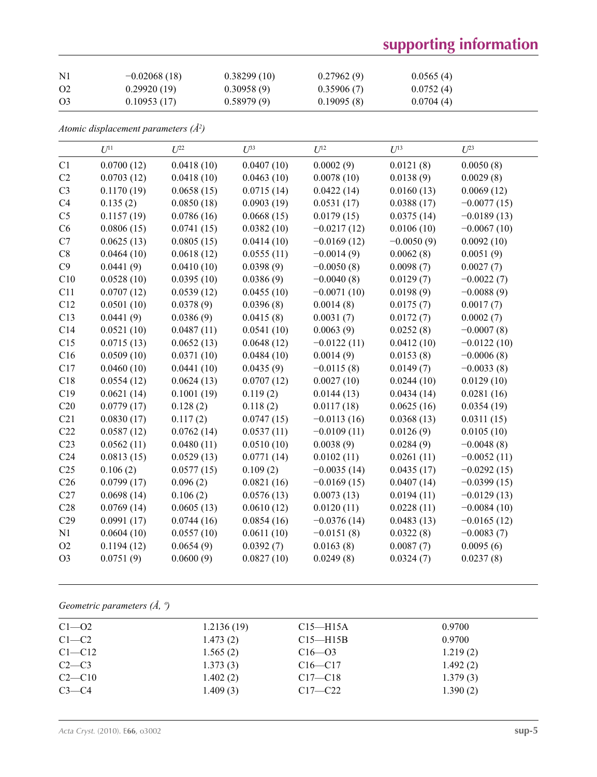# **supporting information**

| $\rm N1$       | $-0.02068(18)$ | 0.38299(10) | 0.27962(9) | 0.0565(4) |
|----------------|----------------|-------------|------------|-----------|
| O <sub>2</sub> | 0.29920(19)    | 0.30958(9)  | 0.35906(7) | 0.0752(4) |
| O <sub>3</sub> | 0.10953(17)    | 0.58979(9)  | 0.19095(8) | 0.0704(4) |

*Atomic displacement parameters (Å2 )*

|                 | $U^{11}$   | $U^{22}$   | $U^{33}$   | $U^{12}$      | $U^{13}$     | $U^{23}$      |
|-----------------|------------|------------|------------|---------------|--------------|---------------|
| C1              | 0.0700(12) | 0.0418(10) | 0.0407(10) | 0.0002(9)     | 0.0121(8)    | 0.0050(8)     |
| C <sub>2</sub>  | 0.0703(12) | 0.0418(10) | 0.0463(10) | 0.0078(10)    | 0.0138(9)    | 0.0029(8)     |
| C <sub>3</sub>  | 0.1170(19) | 0.0658(15) | 0.0715(14) | 0.0422(14)    | 0.0160(13)   | 0.0069(12)    |
| C4              | 0.135(2)   | 0.0850(18) | 0.0903(19) | 0.0531(17)    | 0.0388(17)   | $-0.0077(15)$ |
| C <sub>5</sub>  | 0.1157(19) | 0.0786(16) | 0.0668(15) | 0.0179(15)    | 0.0375(14)   | $-0.0189(13)$ |
| C6              | 0.0806(15) | 0.0741(15) | 0.0382(10) | $-0.0217(12)$ | 0.0106(10)   | $-0.0067(10)$ |
| C7              | 0.0625(13) | 0.0805(15) | 0.0414(10) | $-0.0169(12)$ | $-0.0050(9)$ | 0.0092(10)    |
| C8              | 0.0464(10) | 0.0618(12) | 0.0555(11) | $-0.0014(9)$  | 0.0062(8)    | 0.0051(9)     |
| C9              | 0.0441(9)  | 0.0410(10) | 0.0398(9)  | $-0.0050(8)$  | 0.0098(7)    | 0.0027(7)     |
| C10             | 0.0528(10) | 0.0395(10) | 0.0386(9)  | $-0.0040(8)$  | 0.0129(7)    | $-0.0022(7)$  |
| C11             | 0.0707(12) | 0.0539(12) | 0.0455(10) | $-0.0071(10)$ | 0.0198(9)    | $-0.0088(9)$  |
| C12             | 0.0501(10) | 0.0378(9)  | 0.0396(8)  | 0.0014(8)     | 0.0175(7)    | 0.0017(7)     |
| C13             | 0.0441(9)  | 0.0386(9)  | 0.0415(8)  | 0.0031(7)     | 0.0172(7)    | 0.0002(7)     |
| C14             | 0.0521(10) | 0.0487(11) | 0.0541(10) | 0.0063(9)     | 0.0252(8)    | $-0.0007(8)$  |
| C15             | 0.0715(13) | 0.0652(13) | 0.0648(12) | $-0.0122(11)$ | 0.0412(10)   | $-0.0122(10)$ |
| C16             | 0.0509(10) | 0.0371(10) | 0.0484(10) | 0.0014(9)     | 0.0153(8)    | $-0.0006(8)$  |
| C17             | 0.0460(10) | 0.0441(10) | 0.0435(9)  | $-0.0115(8)$  | 0.0149(7)    | $-0.0033(8)$  |
| C18             | 0.0554(12) | 0.0624(13) | 0.0707(12) | 0.0027(10)    | 0.0244(10)   | 0.0129(10)    |
| C19             | 0.0621(14) | 0.1001(19) | 0.119(2)   | 0.0144(13)    | 0.0434(14)   | 0.0281(16)    |
| C20             | 0.0779(17) | 0.128(2)   | 0.118(2)   | 0.0117(18)    | 0.0625(16)   | 0.0354(19)    |
| C21             | 0.0830(17) | 0.117(2)   | 0.0747(15) | $-0.0113(16)$ | 0.0368(13)   | 0.0311(15)    |
| C22             | 0.0587(12) | 0.0762(14) | 0.0537(11) | $-0.0109(11)$ | 0.0126(9)    | 0.0105(10)    |
| C <sub>23</sub> | 0.0562(11) | 0.0480(11) | 0.0510(10) | 0.0038(9)     | 0.0284(9)    | $-0.0048(8)$  |
| C <sub>24</sub> | 0.0813(15) | 0.0529(13) | 0.0771(14) | 0.0102(11)    | 0.0261(11)   | $-0.0052(11)$ |
| C <sub>25</sub> | 0.106(2)   | 0.0577(15) | 0.109(2)   | $-0.0035(14)$ | 0.0435(17)   | $-0.0292(15)$ |
| C <sub>26</sub> | 0.0799(17) | 0.096(2)   | 0.0821(16) | $-0.0169(15)$ | 0.0407(14)   | $-0.0399(15)$ |
| C27             | 0.0698(14) | 0.106(2)   | 0.0576(13) | 0.0073(13)    | 0.0194(11)   | $-0.0129(13)$ |
| C28             | 0.0769(14) | 0.0605(13) | 0.0610(12) | 0.0120(11)    | 0.0228(11)   | $-0.0084(10)$ |
| C29             | 0.0991(17) | 0.0744(16) | 0.0854(16) | $-0.0376(14)$ | 0.0483(13)   | $-0.0165(12)$ |
| N1              | 0.0604(10) | 0.0557(10) | 0.0611(10) | $-0.0151(8)$  | 0.0322(8)    | $-0.0083(7)$  |
| O2              | 0.1194(12) | 0.0654(9)  | 0.0392(7)  | 0.0163(8)     | 0.0087(7)    | 0.0095(6)     |
| O <sub>3</sub>  | 0.0751(9)  | 0.0600(9)  | 0.0827(10) | 0.0249(8)     | 0.0324(7)    | 0.0237(8)     |

# *Geometric parameters (Å, º)*

| $C1 - 02$  | 1.2136(19) | $C15 - H15A$ | 0.9700   |  |
|------------|------------|--------------|----------|--|
| $C1-C2$    | 1.473(2)   | $C15 - H15B$ | 0.9700   |  |
| $C1 - C12$ | 1.565(2)   | $C16 - 03$   | 1.219(2) |  |
| $C2-C3$    | 1.373(3)   | $C16 - C17$  | 1.492(2) |  |
| $C2-C10$   | 1.402(2)   | $C17 - C18$  | 1.379(3) |  |
| $C3-C4$    | 1.409(3)   | $C17 - C22$  | 1.390(2) |  |
|            |            |              |          |  |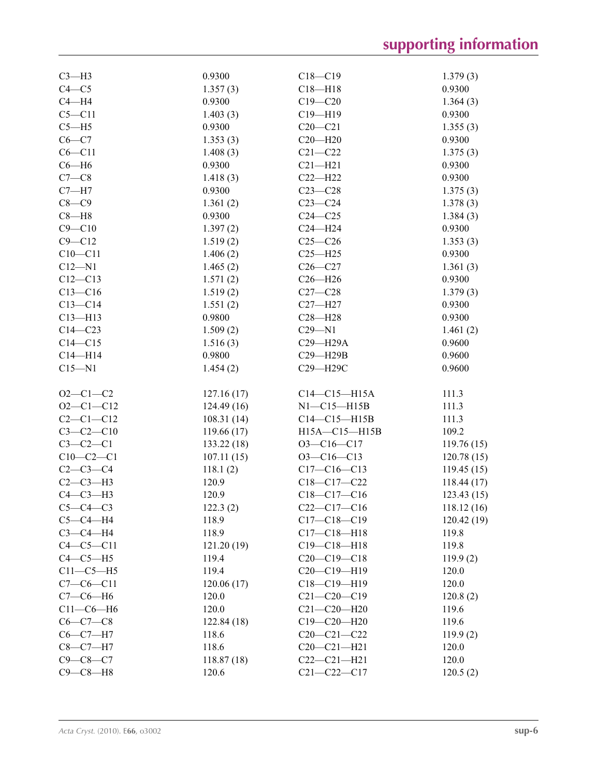| $C3-H3$         | 0.9300             | $C18 - C19$        | 1.379(3)   |
|-----------------|--------------------|--------------------|------------|
| $C4 - C5$       | 1.357(3)           | $C18 - H18$        | 0.9300     |
| $C4 - H4$       | 0.9300             | $C19 - C20$        | 1.364(3)   |
| $C5 - C11$      | 1.403(3)           | $C19 - H19$        | 0.9300     |
| $C5 - H5$       | 0.9300             | $C20 - C21$        | 1.355(3)   |
| $C6 - C7$       | 1.353(3)           | $C20 - H20$        | 0.9300     |
| $C6 - C11$      | 1.408(3)           | $C21 - C22$        | 1.375(3)   |
| $C6 - H6$       | 0.9300             | $C21 - H21$        | 0.9300     |
| $C7-C8$         | 1.418(3)           | $C22 - H22$        | 0.9300     |
| $C7 - H7$       | 0.9300             | $C23-C28$          | 1.375(3)   |
| $C8-C9$         | 1.361(2)           | $C23-C24$          | 1.378(3)   |
| $C8 - H8$       | 0.9300             | $C24 - C25$        | 1.384(3)   |
| $C9 - C10$      | 1.397(2)           | $C24 - H24$        | 0.9300     |
| $C9 - C12$      | 1.519(2)           | $C25 - C26$        | 1.353(3)   |
| $C10 - C11$     | 1.406(2)           | $C25 - H25$        | 0.9300     |
| $C12 - N1$      | 1.465(2)           | $C26 - C27$        | 1.361(3)   |
| $C12 - C13$     | 1.571(2)           | $C26 - H26$        | 0.9300     |
| $C13 - C16$     | 1.519(2)           | $C27-C28$          | 1.379(3)   |
| $C13-C14$       |                    | $C27 - H27$        | 0.9300     |
|                 | 1.551(2)<br>0.9800 |                    |            |
| $C13 - H13$     |                    | $C28 - H28$        | 0.9300     |
| $C14 - C23$     | 1.509(2)           | $C29 - N1$         | 1.461(2)   |
| $C14 - C15$     | 1.516(3)           | C29-H29A           | 0.9600     |
| $C14 - H14$     | 0.9800             | C29-H29B           | 0.9600     |
| $C15 - N1$      | 1.454(2)           | C29-H29C           | 0.9600     |
| $O2 - C1 - C2$  | 127.16(17)         | $C14 - C15 - H15A$ | 111.3      |
| $O2-C1-C12$     |                    | $N1-C15-H15B$      | 111.3      |
| $C2 - C1 - C12$ | 124.49(16)         | $C14-C15-H15B$     | 111.3      |
|                 | 108.31(14)         |                    |            |
| $C3-C2-C10$     | 119.66(17)         | H15A-C15-H15B      | 109.2      |
| $C3-C2-C1$      | 133.22 (18)        | $O3-C16-C17$       | 119.76(15) |
| $C10-C2-C1$     | 107.11(15)         | $O3-C16-C13$       | 120.78(15) |
| $C2-C3-C4$      | 118.1(2)           | $C17-C16-C13$      | 119.45(15) |
| $C2-C3-H3$      | 120.9              | $C18 - C17 - C22$  | 118.44(17) |
| $C4-C3-H3$      | 120.9              | $C18 - C17 - C16$  | 123.43(15) |
| $C5-C4-C3$      | 122.3(2)           | $C22-C17-C16$      | 118.12(16) |
| $C5-C4-H4$      | 118.9              | $C17 - C18 - C19$  | 120.42(19) |
| $C3-C4-H4$      | 118.9              | $C17 - C18 - H18$  | 119.8      |
| $C4 - C5 - C11$ | 121.20(19)         | $C19 - C18 - H18$  | 119.8      |
| $C4-C5-H5$      | 119.4              | $C20-C19-C18$      | 119.9(2)   |
| $C11-C5-H5$     | 119.4              | $C20-C19-H19$      | 120.0      |
| $C7-C6-C11$     | 120.06(17)         | $C18-C19-H19$      | 120.0      |
| $C7-C6-H6$      | 120.0              | $C21 - C20 - C19$  | 120.8(2)   |
| $C11-C6-H6$     | 120.0              | $C21 - C20 - H20$  | 119.6      |
| $C6 - C7 - C8$  | 122.84(18)         | $C19 - C20 - H20$  | 119.6      |
| $C6-C7-H7$      | 118.6              | $C20-C21-C22$      | 119.9(2)   |
|                 |                    |                    |            |
| $C8-C7-H7$      | 118.6              | $C20 - C21 - H21$  | 120.0      |
| $C9 - C8 - C7$  | 118.87(18)         | $C22-C21-H21$      | 120.0      |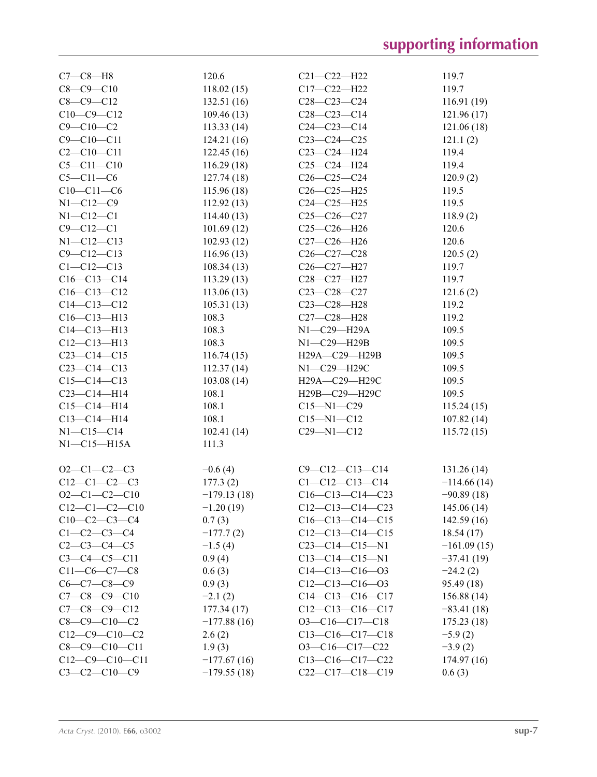| $C7-C8-H8$            | 120.6         | $C21 - C22 - H22$      | 119.7         |
|-----------------------|---------------|------------------------|---------------|
| $C8 - C9 - C10$       | 118.02(15)    | $C17 - C22 - H22$      | 119.7         |
| $C8 - C9 - C12$       | 132.51(16)    | $C28-C23-C24$          | 116.91(19)    |
| $C10-C9-C12$          | 109.46(13)    | $C28 - C23 - C14$      | 121.96(17)    |
| $C9 - C10 - C2$       | 113.33(14)    | $C24 - C23 - C14$      | 121.06(18)    |
| $C9 - C10 - C11$      | 124.21(16)    | $C23-C24-C25$          | 121.1(2)      |
| $C2 - C10 - C11$      | 122.45(16)    | C23-C24-H24            | 119.4         |
| $C5 - C11 - C10$      | 116.29(18)    | $C25-C24-H24$          | 119.4         |
| $C5 - C11 - C6$       | 127.74(18)    | $C26 - C25 - C24$      | 120.9(2)      |
| $C10-C11-C6$          | 115.96(18)    | $C26 - C25 - H25$      | 119.5         |
| $N1 - C12 - C9$       | 112.92(13)    | $C24 - C25 - H25$      | 119.5         |
| $N1 - C12 - C1$       | 114.40(13)    | $C25-C26-C27$          | 118.9(2)      |
| $C9 - C12 - C1$       | 101.69(12)    | $C25-C26-H26$          | 120.6         |
| $N1 - C12 - C13$      | 102.93(12)    | C27-C26-H26            | 120.6         |
| $C9 - C12 - C13$      | 116.96(13)    | $C26-C27-C28$          | 120.5(2)      |
| $C1 - C12 - C13$      | 108.34(13)    | C26-C27-H27            | 119.7         |
| $C16-C13-C14$         | 113.29(13)    | C28-C27-H27            | 119.7         |
| $C16 - C13 - C12$     | 113.06(13)    | $C23 - C28 - C27$      | 121.6(2)      |
| $C14 - C13 - C12$     | 105.31(13)    | $C23 - C28 - H28$      | 119.2         |
| $C16 - C13 - H13$     | 108.3         | C27-C28-H28            | 119.2         |
| $C14 - C13 - H13$     | 108.3         | N1-C29-H29A            | 109.5         |
| $C12 - C13 - H13$     | 108.3         | $N1-C29-H29B$          | 109.5         |
| $C23-C14-C15$         | 116.74(15)    | H29A-C29-H29B          | 109.5         |
| $C23-C14-C13$         | 112.37(14)    | N1-C29-H29C            | 109.5         |
| $C15-C14-C13$         | 103.08(14)    | Н29А-С29-Н29С          | 109.5         |
| $C23-C14-H14$         | 108.1         | Н29В-С29-Н29С          | 109.5         |
| $C15-C14-H14$         | 108.1         | $C15 - N1 - C29$       | 115.24(15)    |
| $C13 - C14 - H14$     | 108.1         | $C15 - N1 - C12$       | 107.82(14)    |
| $N1 - C15 - C14$      | 102.41(14)    | $C29 - N1 - C12$       | 115.72(15)    |
| $N1-C15-H15A$         | 111.3         |                        |               |
|                       |               |                        |               |
| $O2 - C1 - C2 - C3$   | $-0.6(4)$     | $C9 - C12 - C13 - C14$ | 131.26(14)    |
| $C12-C1-C2-C3$        | 177.3(2)      | $C1 - C12 - C13 - C14$ | $-114.66(14)$ |
| $O2 - C1 - C2 - C10$  | $-179.13(18)$ | $C16-C13-C14-C23$      | $-90.89(18)$  |
| $C12-C1-C2-C10$       | $-1.20(19)$   | $C12-C13-C14-C23$      | 145.06(14)    |
| $C10-C2-C3-C4$        | 0.7(3)        | $C16-C13-C14-C15$      | 142.59(16)    |
| $C1-C2-C3-C4$         | $-177.7(2)$   | $C12-C13-C14-C15$      | 18.54(17)     |
| $C2-C3-C4-C5$         | $-1.5(4)$     | $C23-C14-C15-N1$       | $-161.09(15)$ |
| $C3 - C4 - C5 - C11$  | 0.9(4)        | $C13-C14-C15-N1$       | $-37.41(19)$  |
| $C11-C6-C7-C8$        | 0.6(3)        | $C14-C13-C16-03$       | $-24.2(2)$    |
| $C6-C7-C8-C9$         | 0.9(3)        | $C12-C13-C16-03$       | 95.49 (18)    |
| $C7 - C8 - C9 - C10$  | $-2.1(2)$     | $C14-C13-C16-C17$      | 156.88(14)    |
| $C7 - C8 - C9 - C12$  | 177.34 (17)   | $C12-C13-C16-C17$      | $-83.41(18)$  |
| $C8 - C9 - C10 - C2$  | $-177.88(16)$ | $O3-C16-C17-C18$       | 175.23(18)    |
| $C12-C9-C10-C2$       | 2.6(2)        | $C13-C16-C17-C18$      | $-5.9(2)$     |
| $C8 - C9 - C10 - C11$ | 1.9(3)        | $O3-C16-C17-C22$       | $-3.9(2)$     |
| $C12-C9-C10-C11$      | $-177.67(16)$ | C13-C16-C17-C22        | 174.97(16)    |
| $C3 - C2 - C10 - C9$  | $-179.55(18)$ | $C22-C17-C18-C19$      | 0.6(3)        |